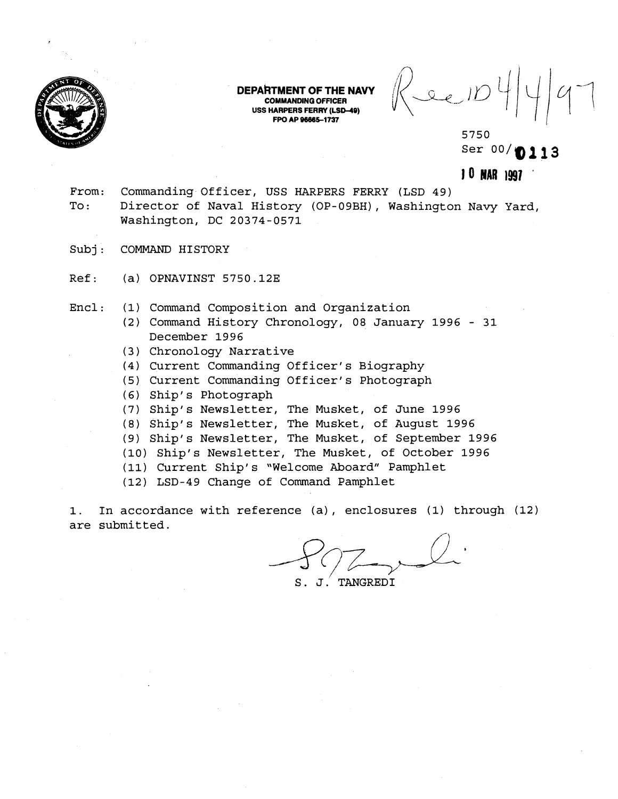

DEPARTMENT OF THE NAVY **COMMANDING OFFICER USS HARPERS FERRY (LSD-40) FPO AP 98665-1737** 

 $\frac{1}{2}$ 

5750 Ser 00/**0113** 

**lo BAR 1997** '

- From: Commanding Officer, USS HARPERS FERRY (LSD 49) To: Director of Naval History (OP-09BH), Washington Navy Yard, Washington, DC 20374-0571
- Subj: COMMAND HISTORY
- Ref: (a) OPNAVINST 5750.12E
- Encl: (1) Command Composition and Organization
	- (2) Command History Chronology, 08 January 1996 31 December 1996
	- **(3)** Chronology Narrative
	- (4) Current Commanding Officer's Biography
	- (5) Current Commanding Officer's Photograph
	- (6) Ship's Photograph
	- (7) Ship's Newsletter, The Musket, of June 1996
	- (8) Ship's Newsletter, The Musket, of August 1996
	- (9) Ship's Newsletter, The Musket, of September 1996
	- (10) Ship's Newsletter, The Musket, of October 1996
	- (11) Current Ship's "Welcome Aboard" Pamphlet

(12) LSD-49 Change of Command Pamphlet

1. In accordance with reference (a) , enclosures (1) through (12) are submitted.

J. TANGREDI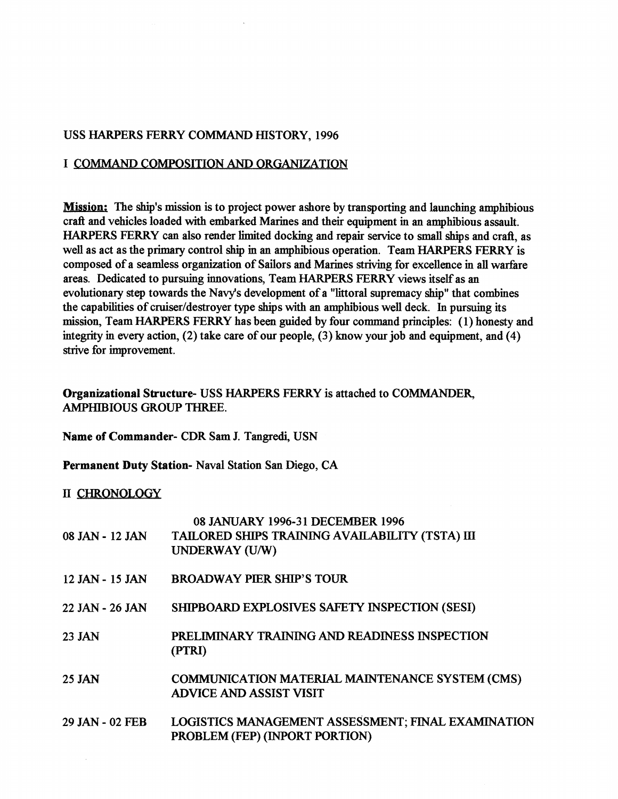# USS HARPERS FERRY COMMAND HISTORY, 1996

### I COMMAND COMPOSITION **AND** ORGANIZATION

**Mission:** The ship's mission is to project power ashore by transporting and launching amphibious craft and vehicles loaded with embarked Marines and their equipment in an amphibious assault. HARPERS FERRY can also render limited docking and repair service to **small** ships and craft, as well as act as the primary control ship in an amphibious operation. Team HARPERS FERRY is composed of a seamless organization of Sailors and Marines striving for excellence in all warfare areas. Dedicated to pursuing innovations, Team HARPERS FERRY views itself as an evolutionary step towards the Navy's development of a "littoral supremacy ship" that combines the capabilities of cruiser/destroyer type ships with an amphibious well deck. In pursuing its mission, Team HARPERS FERRY has been guided by four command principles: (1) honesty and integrity in every action, (2) take care of our people, (3) know your job and equipment, and (4) strive for improvement.

# **Organizational Structure-** USS HARPERS FERRY is attached to COMMANDER, AMPHIBIOUS GROUP THREE.

**Name of Commander-** CDR Sam **J.** Tangredi, USN

**Permanent Duty Station-** Naval Station San Diego, CA

#### 11 CHRONOLOGY

|                 | 08 JANUARY 1996-31 DECEMBER 1996                                                     |
|-----------------|--------------------------------------------------------------------------------------|
| 08 JAN - 12 JAN | TAILORED SHIPS TRAINING AVAILABILITY (TSTA) III                                      |
|                 | <b>UNDERWAY (U/W)</b>                                                                |
| 12 JAN - 15 JAN | <b>BROADWAY PIER SHIP'S TOUR</b>                                                     |
| 22 JAN - 26 JAN | SHIPBOARD EXPLOSIVES SAFETY INSPECTION (SESI)                                        |
| 23 JAN          | PRELIMINARY TRAINING AND READINESS INSPECTION<br>(PTRI)                              |
| <b>25 JAN</b>   | COMMUNICATION MATERIAL MAINTENANCE SYSTEM (CMS)<br><b>ADVICE AND ASSIST VISIT</b>    |
| 29 JAN - 02 FEB | LOGISTICS MANAGEMENT ASSESSMENT; FINAL EXAMINATION<br>PROBLEM (FEP) (INPORT PORTION) |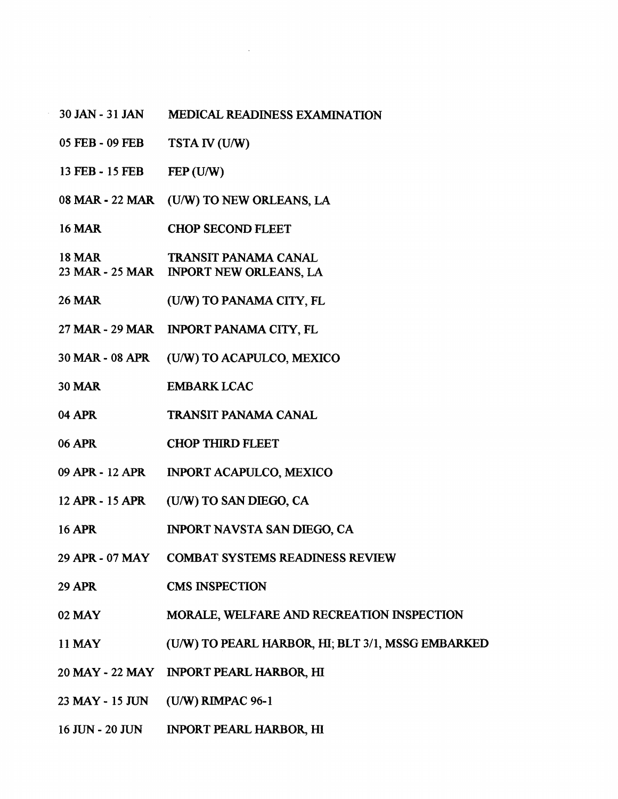- 30 JAN 31 JAN MEDICAL READINESS EXAMINATION
- 05 FEB 09 **FEB TSTA <b>IV** (U/W)
- 13 FEB 15 FEB  $FEP$  (U/W)
- 08 MAR 22 MAR (U/W) TO NEW ORLEANS, LA
- 16 MAR CHOP SECOND FLEET
- **18 MAR**  TRANSIT PANAMA CANAL
- 23 MAR 25 MAR INPORT **NEW** ORLEANS, LA
- 26 MAR (U/W) TO PANAMA CITY, FL
- 27 MAR- 29 **MAR**  INPORT PANAMA CITY, **FL**
- 30 MAR 08 APR (U/W) TO ACAPULCO, MEXICO
- **30 MAR** EMBARK LCAC
- **04 APR** TRANSIT PANAMA CANAL
- **06 APR** CHOP THIRD FLEET
- 09 APR 12 APR INPORT ACAPULCO, MEXICO
- **12APR-** 15APR (U/W) TO SAN DIEGO, CA
- 16 APR INPORT NAVSTA SAN **DIEGO,** CA
- 29 AYR 07 MAY COMBAT SYSTEMS READINESS REVIEW
- 29 APR CMS INSPECTION
- 02 MAY MORALE, WELFARE **AND** RECREATION INSPECTION
- 11 MAY (U/W) TO PEARL HARBOR, HI; BLT **311,** MSSG EMBARKED
- 20 MAY 22 MAY INPORT PEARL HARBOR, HI
- 23 MAY 15 JUN (U/W) RIMPAC 96-1
- 16 JUN 20 JUN INPORT PEARL HARBOR, HI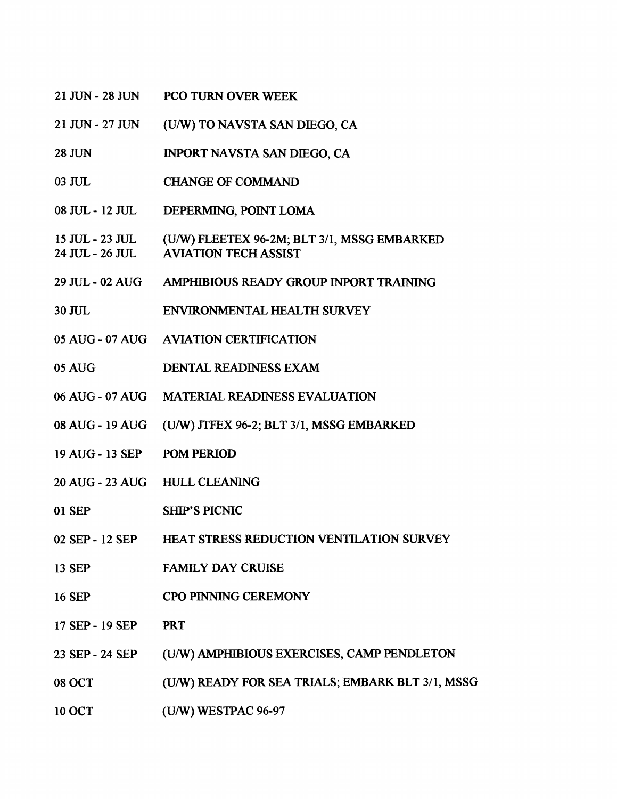- 21 JUN 28 JUN PCO TURN OVER WEEK
- 21 JUN 27 JUN (U/W) TO NAVSTA SAN DIEGO, CA
- **28 JUN** INPORT NAVSTA SAN DIEGO, CA
- 03 JUL. **CHANGE OF COMMAND**
- 08 JUL 12 JUL DEPERMING, POINT LOMA
- 15 JUL 23 JUL (U/W) FLEETEX 96-2M; BLT 3/1, MSSG EMBARKED 24 JUL - 26 JUL AVIATION TECH ASSIST
- 29 **JUL**  02 AUG AMPHIBIOUS READY GROUP INPORT TRAINING
- 30 JUL ENVIRONMENTAL HEALTH SURVEY
- 05 AUG 07 AUG AVIATION CERTIFICATION
- 05 AUG DENTAL READINESS EXAM
- 06 AUG 07 AUG MATERIAL. READINESS EVALUATION
- 08 AUC; 19 AUG (UMT) **JTFEX** 96-2; BLT 311, MSSG EMBARKED
- 19 AUG 13 SEP POM PERIOD
- 20 AUG 23 AUG HULL CLEANING
- 01 SEP SHIP'S PICNIC
- 02 SEP 12 SEP HEAT STRESS REDUCTION VENTILATION SURVEY
- 13 SEP FAMILY DAY CRUISE
- 16 SEP CPO PINNING CEREMONY
- 17 SEP 19 SEP PRT
- 23 SEP 24 SEP **(UIW)** AMPHIBIOUS EXERCISES, CAMP PENDLETON
- 08 OCT (U/W) READY FOR SEA TRIALS; EMBARK BLT 3/1, MSSG
- 10 OCT (U/W) WESTPAC 96-97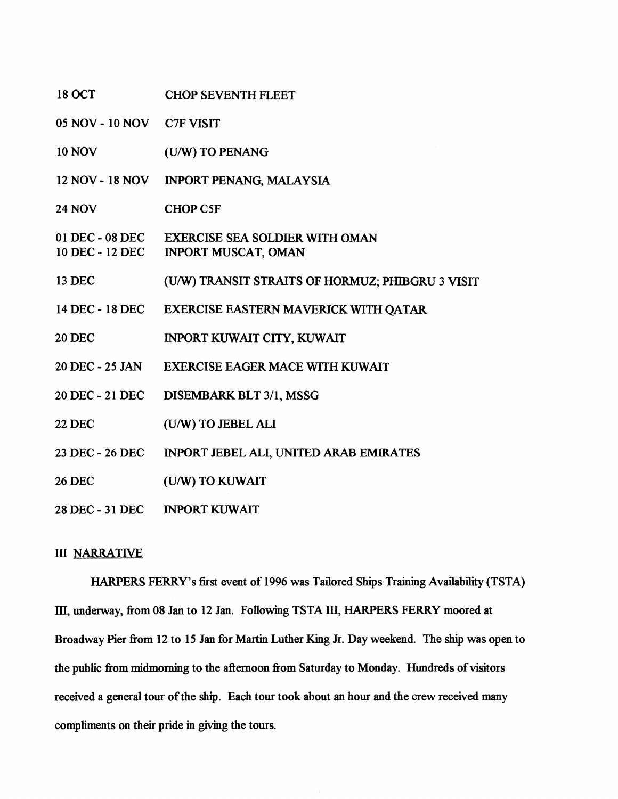| <b>18 OCT</b>                | <b>CHOP SEVENTH FLEET</b>                                                    |
|------------------------------|------------------------------------------------------------------------------|
| 05 NOV - 10 NOV C7F VISIT    |                                                                              |
| <b>10 NOV</b>                | (U/W) TO PENANG                                                              |
| 12 NOV - 18 NOV              | <b>INPORT PENANG, MALAYSIA</b>                                               |
| <b>24 NOV</b>                | <b>CHOP C5F</b>                                                              |
| 10 DEC - 12 DEC              | 01 DEC - 08 DEC EXERCISE SEA SOLDIER WITH OMAN<br><b>INPORT MUSCAT, OMAN</b> |
| 13 DEC                       | (U/W) TRANSIT STRAITS OF HORMUZ; PHIBGRU 3 VISIT                             |
| 14 DEC - 18 DEC              | EXERCISE EASTERN MAVERICK WITH QATAR                                         |
| <b>20 DEC</b>                | INPORT KUWAIT CITY, KUWAIT                                                   |
| 20 DEC - 25 JAN              | <b>EXERCISE EAGER MACE WITH KUWAIT</b>                                       |
| 20 DEC - 21 DEC              | DISEMBARK BLT 3/1, MSSG                                                      |
| <b>22 DEC</b>                | (U/W) TO JEBEL ALI                                                           |
| 23 DEC - 26 DEC              | INPORT JEBEL ALI, UNITED ARAB EMIRATES                                       |
| <b>26 DEC</b>                | (U/W) TO KUWAIT                                                              |
| 28 DEC - 31 DEC NPORT KUWAIT |                                                                              |

# *M NARRATIVE*

HARPERS **FERRY'S** first event of 1996 was Tailored Ships Training Availability (TSTA) **III,** underway, fiom 08 Jan to 12 Jan. Following TSTA **III,** HARPERS **FERRY** moored at Broadway Pier fiom 12 to 15 Jan for Martin Luther King Jr. Day weekend. The ship was open to the public from midmorning to the afternoon from Saturday to Monday. Hundreds of visitors received a general tour of the ship. Each tour took about an hour and the crew received many compliments on their pride in giving the tours.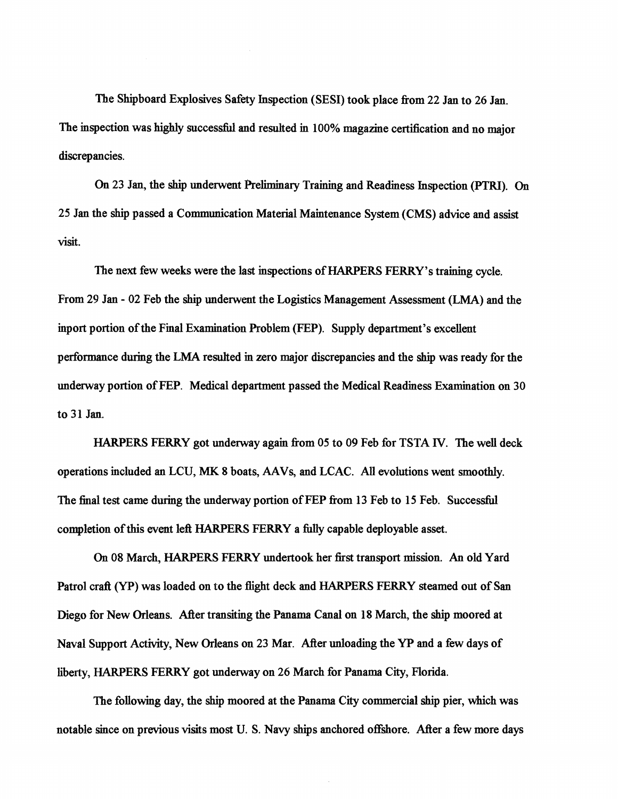The Shipboard Explosives Safety Inspection (SESI) took place from 22 Jan to 26 Jan. The inspection was highly successll and resulted in **100%** magazine certification and no major discrepancies.

**On 23** Jan, the **ship** underwent Preliminary Training and Readiness Inspection **(PTRI).** On 25 Jan the ship passed a Communication Material Maintenance System (CMS) advice and assist visit.

The next few weeks were the last inspections of HARPERS FERRY's training cycle. From **29** Jan - **02** Feb the ship underwent the Logistics Management Assessment (LMA) and the inport portion of the Final Examination Problem (FEP). Supply department's excellent performance during the LMA resulted in zero major discrepancies and the **ship** was ready for the underway portion of FEP. Medical department passed the Medical Readiness Examination on **30**  to 31 Jan.

HARPERS FERRY got underway again fiom **05** to **09** Feb for TSTA **IV.** The well deck operations included an LCU, **MK** 8 boats, **AAVs,** and LCAC. *All* evolutions went smoothly. The final test came during the underway portion of FEP from 13 Feb to 15 Feb. Successful completion of this event left HARPERS FERRY a **fuuy** capable deployable asset.

**On 08** March, HARPERS FERRY undertook her fist transport mission. An old Yard Patrol craft (YP) was loaded on to the flight deck and HARPERS FERRY steamed out of San Diego for New Orleans. After transiting the Panama Canal on **18** March, the ship moored at Naval Support Activity, New Orleans on **23** Mar. After unloading the **YP** and a few days of liberfy, HARPERS FERRY got underway on 26 March for Panama City, Florida.

The following day, the ship moored at the Panama City commercial ship pier, which was notable since on previous visits most U. S. Navy ships anchored offshore. After a few more days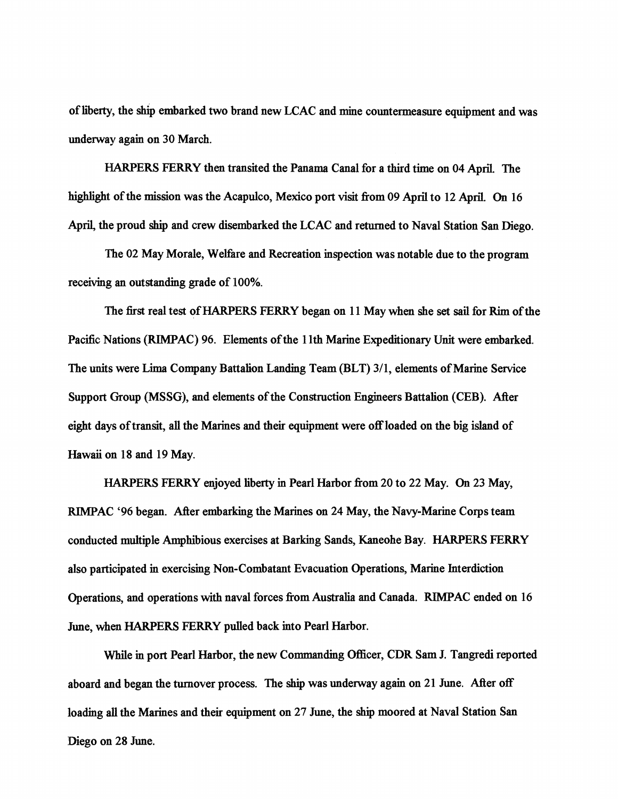of liberty, the **ship** embarked two brand new LCAC and mine countermeasure equipment and was underway again on **30** March.

HARPERS FERRY then transited the Panama Canal for a third time on **04** April, The **highlight** of the mission was the Acapulco, Mexico port visit from **09** April to **12** April. On **16**  April, the proud **ship** and crew disembarked the LCAC and returned to Naval Station San Diego.

The **02** May Morale, WeEire and Recreation inspection was notable due to the program receiving an outstanding grade of **100%.** 

The first real test of HARPERS FERRY began on **11** May when she set sail for Rim of the Pacific Nations (RIMPAC) 96. Elements of the 11th Marine Expeditionary Unit were embarked. The units were **Lima** Company Battalion Landing Team (BLT) **3/1,** elements of Marine Service Support Group (MSSG), and elements of the Construction Engineers Battalion (CEB). After eight days of transit, all the Marines and their equipment were off loaded on the big island of Hawaii on **18** and **19** May.

HARPERS FERRY enjoyed liberty in Pearl Harbor fiom **20** to **22** May. On **23** May, RlMPAC **'96** began. After embarking the Marines on **24** May, the Navy-Marine Corps team conducted multiple Amphibious exercises at Barking Sands, Kaneohe Bay. HARPERS FERRY also participated in exercising Non-Combatant Evacuation Operations, Marine Interdiction Operations, and operations with naval forces from Australia and Canada. RIMPAC ended on **16**  June, when **HARPERS** FERRY pulled back into Pearl Harbor.

While in port Pearl Harbor, the new Commanding Officer, CDR Sam J. Tangredi reported aboard and began the turnover process. The **ship** was underway again on **21** June. After off loading **all** the Marines and their equipment on **27** June, the ship moored at Naval Station San Diego on 28 June.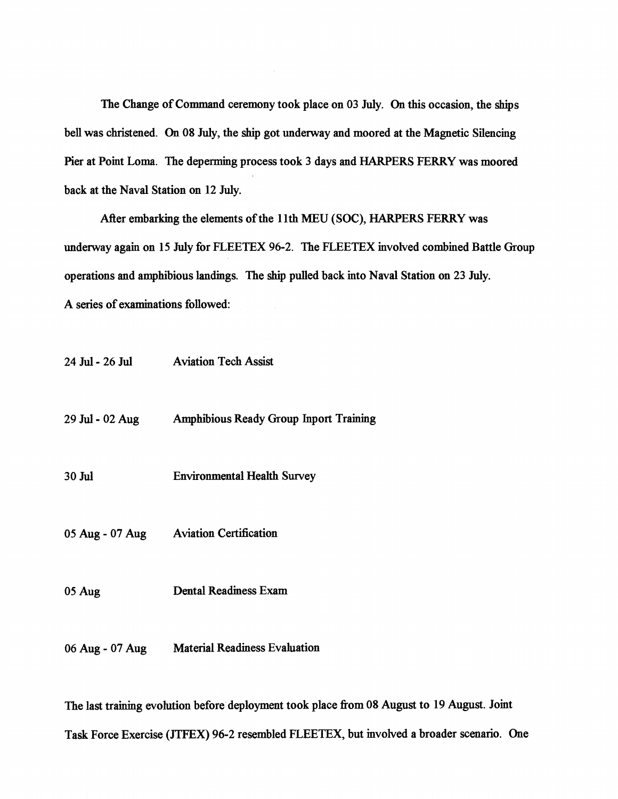The Change of Command ceremony took place on **03** July. On this occasion, the ships bell was christened. On **08** July, the ship got underway and moored at the Magnetic Silencing Pier at Point **Lorna.** The deperming process took 3 days and HARPERS **FERRY** was moored back at the Naval Station on 12 July.

After embarking the elements of the 1 lth **MEU** (SOC), HARPERS FERRY was underway again on **15** July for FLEETEX **96-2.** The FLEETEX involved combined Battle Group operations and amphibious landings. The ship pulled back into Naval Station on **23** July. A series of examinations followed:

| 24 Jul - 26 Jul | <b>Aviation Tech Assist</b>                   |
|-----------------|-----------------------------------------------|
| 29 Jul - 02 Aug | <b>Amphibious Ready Group Inport Training</b> |
| 30 Jul          | <b>Environmental Health Survey</b>            |
|                 | 05 Aug - 07 Aug Aviation Certification        |
| 05 Aug          | <b>Dental Readiness Exam</b>                  |
| 06 Aug - 07 Aug | <b>Material Readiness Evaluation</b>          |

The last training evolution before deployment took place from 08 August to 19 August. Joint **Task** Force Exercise **(JTFEX) 96-2** resembled FLEETEX, but involved a broader scenario. One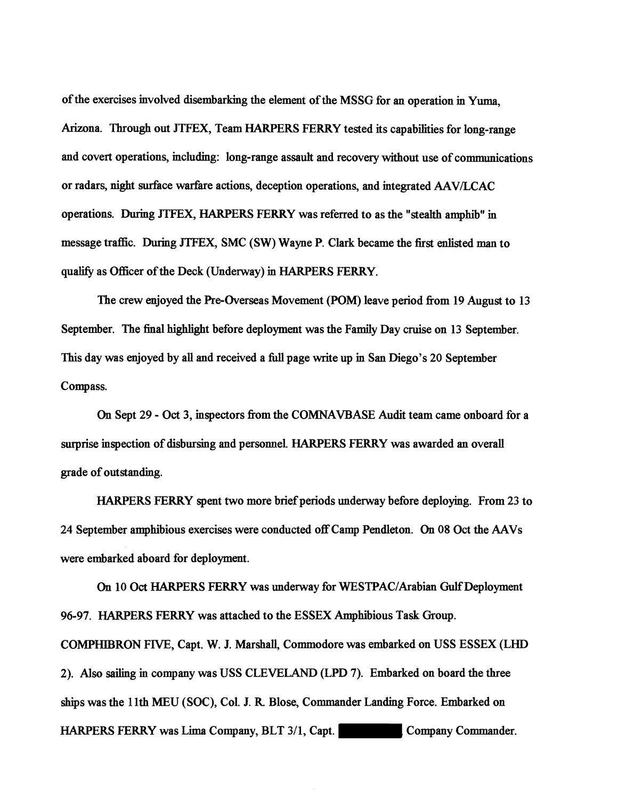of the exercises involved disembarking the element of the MSSG for an operation in **Yum,**  Arizona. Through out JTFEX, Team HARPERS **FERRY** tested its capabilities for long-range and covert operations, including: long-range assault and recovery without use of communications or radars, night surface warfare actions, deception operations, and integrated AAV/LCAC operations. During JTFEX, HARPERS **FERRY** was referred to as the "stealth amphib" in message traffic. **During** JTFEX, SMC (SW) Wayne P. Clark became the first enlisted man to qualify as Officer of the Deck (Underway) in HARPERS FERRY.

The crew enjoyed the Pre-Overseas Movement (POM) leave period from 19 August to 13 September. The final highlight before deployment was the Family Day cruise on 13 September. This day was enjoyed by all and received a full page write up in San Diego's 20 September Compass.

On Sept 29 - **Oct** 3, inspectors from the COMNAVBASE Audit team came onboard for a **surprise** inspection of disbursing and personnel. HARPERS **FERRY** was awarded **an** overall grade of outstanding.

HARPERS FERRY spent two more brief periods underway before deploying. From 23 to 24 September amphibious exercises were conducted off Camp Pendleton. On 08 Oct the AAVs were embarked aboard for deployment.

On 10 Oct HARPERS FERRY was underway for WESTPAC/Arabian Gulf Deployment 96-97. HARPERS FERRY was attached to the ESSEX Amphibious Task Group.

COMPHIBRON FIVE, Capt. W. J. Marshall, Commodore was embarked on USS ESSEX (LHD 2). Also **sailing** in company was USS CLEVELAND (LPD 7). Embarked on board the three ships was the 1 lth MEU (SOC), Col. J. R Blose, Commander Landing Force. Embarked on HARPERS FERRY was Lima Company, BLT 3/1, Capt. Company Commander.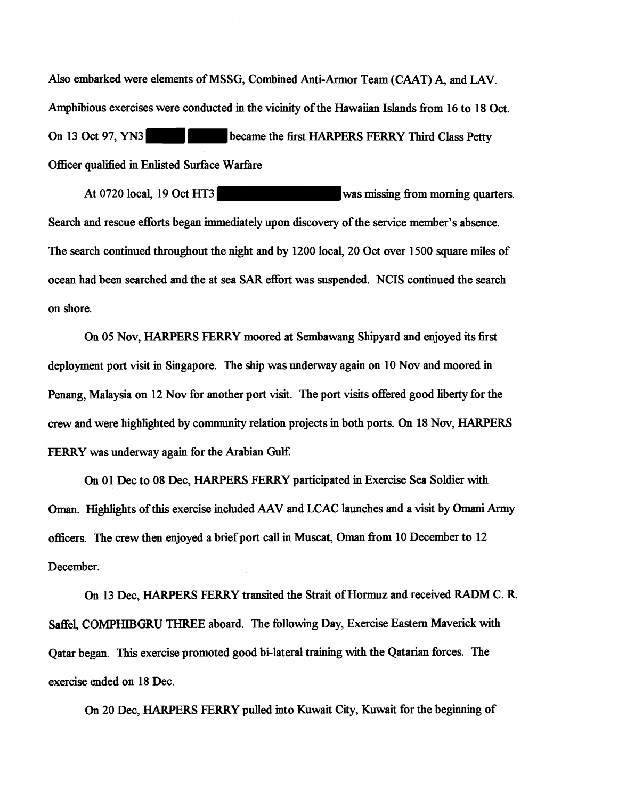Also embarked were elements of MSSG, Combined Anti-Armor Team (CAAT) A, and LAV. Amphibious exercises were conducted in the vicinity of the Hawaiian Islands fiom **16** to **18** Oct. On **13** Oct **97, YN3** became the first HARPERS **FERRY** Third Class Petty Officer qualified in Enlisted Surface Warfare

At 0720 local, 19 Oct HT3 **was missing from morning quarters.** Search and rescue efforts began immediately upon discovery of the service member's absence. The search continued throughout the night and by **1200** local, **20** Oct over **1500** square miles of ocean had been searched and the at sea SAR effort was suspended. NCIS continued the search on shore.

**On 05** Nov, HARPERS **FERRY** moored at Sembawang Shipyard and enjoyed its first deployment port visit in Singapore. The ship was underway again on **10** Nov and moored in Penang, Malaysia on **12** Nov for another port visit. The port visits offered good liberty for the crew and were highlighted by community relation projects in both ports. On **18** Nov, HARPERS **FERRY** was underway again for the Arabian **Gulf.** 

**On 01** Dec to **08** Dec, HARPERS **FERRY** participated in Exercise Sea Soldier with Oman. Highlights of this exercise included AAV and LCAC launches and a visit by Omani Army officers. The crew then enjoyed a brief port call in Muscat, **Oman** fiom **10** December to **12**  December.

**On 13** Dec, HARPERS **FERRY** transited the Strait of Hormuz and received RADM C. R Saffel, COMPHIBGRU THREE aboard. The following Day, Exercise Eastern Maverick with Qatar began. This exercise promoted good bi-lateral training with the Qatarian forces. The exercise cmded on **18** Dec.

**On 20** Dec, HARPERS **FERRY** pulled into Kuwait City, Kuwait for the beginning of